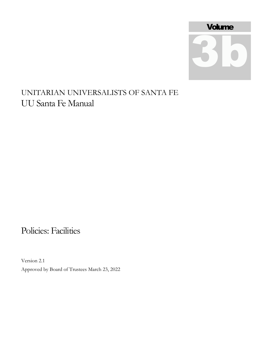

## UNITARIAN UNIVERSALISTS OF SANTA FE UU Santa Fe Manual

## Policies: Facilities

Version 2.1 Approved by Board of Trustees March 23, 2022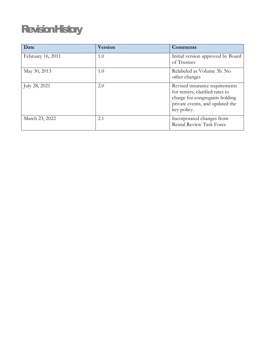# **RevisionHistory**

| Date              | <b>Version</b> | <b>Comments</b>                                                                                                                                       |
|-------------------|----------------|-------------------------------------------------------------------------------------------------------------------------------------------------------|
| February 16, 2011 | 1.0            | Initial version approved by Board<br>of Trustees                                                                                                      |
| May 30, 2013      | 1.0            | Relabeled as Volume 3b. No<br>other changes                                                                                                           |
| July 28, 2021     | 2.0            | Revised insurance requirements<br>for renters, clarified rates to<br>charge for congregants holding<br>private events, and updated the<br>key policy. |
| March 23, 2022    | 2.1            | Incorporated changes from<br><b>Rental Review Task Force</b>                                                                                          |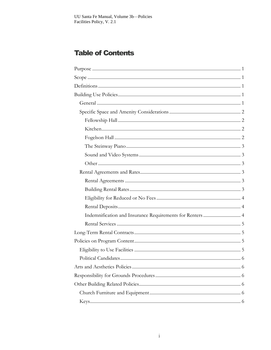### **Table of Contents**

| Indemnification and Insurance Requirements for Renters  4 |  |
|-----------------------------------------------------------|--|
|                                                           |  |
|                                                           |  |
|                                                           |  |
|                                                           |  |
|                                                           |  |
|                                                           |  |
|                                                           |  |
|                                                           |  |
|                                                           |  |
|                                                           |  |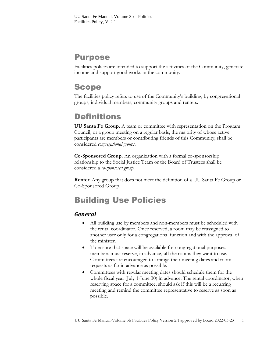### <span id="page-3-0"></span>Purpose

Facilities polices are intended to support the activities of the Community, generate income and support good works in the community.

### <span id="page-3-1"></span>Scope

The facilities policy refers to use of the Community's building, by congregational groups, individual members, community groups and renters.

## <span id="page-3-2"></span>**Definitions**

**UU Santa Fe Group.** A team or committee with representation on the Program Council; or a group meeting on a regular basis, the majority of whose active participants are members or contributing friends of this Community, shall be considered *congregational groups.* 

**Co-Sponsored Group.** An organization with a formal co-sponsorship relationship to the Social Justice Team or the Board of Trustees shall be considered a *co-sponsored group*.

**Renter**: Any group that does not meet the definition of a UU Santa Fe Group or Co-Sponsored Group.

### <span id="page-3-3"></span>Building Use Policies

### <span id="page-3-4"></span>*General*

- All building use by members and non-members must be scheduled with the rental coordinator. Once reserved, a room may be reassigned to another user only for a congregational function and with the approval of the minister.
- To ensure that space will be available for congregational purposes, members must reserve, in advance, **all** the rooms they want to use. Committees are encouraged to arrange their meeting dates and room requests as far in advance as possible.
- Committees with regular meeting dates should schedule them for the whole fiscal year (July 1-June 30) in advance. The rental coordinator, when reserving space for a committee, should ask if this will be a recurring meeting and remind the committee representative to reserve as soon as possible.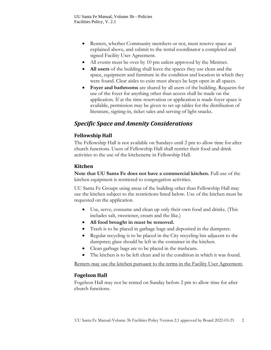- Renters, whether Community members or not, must reserve space as explained above, and submit to the rental coordinator a completed and signed Facility User Agreement.
- All events must be over by 10 pm unless approved by the Minister.
- **All users** of the building shall leave the spaces they use clean and the space, equipment and furniture in the condition and location in which they were found. Clear aisles to exits must always be kept open in all spaces.
- **Foyer and bathrooms** are shared by all users of the building. Requests for use of the foyer for anything other than access shall be made on the application. If at the time reservation or application is made foyer space is available, permission may be given to set up tables for the distribution of literature, signing-in, ticket sales and serving of light snacks.

### <span id="page-4-0"></span>*Specific Space and Amenity Considerations*

#### <span id="page-4-1"></span>**Fellowship Hall**

The Fellowship Hall is not available on Sundays until 2 pm to allow time for after church functions. Users of Fellowship Hall shall restrict their food and drink activities to the use of the kitchenette in Fellowship Hall.

#### <span id="page-4-2"></span>**Kitchen**

**Note that UU Santa Fe does not have a commercial kitchen.** Full use of the kitchen equipment is restricted to congregation activities.

UU Santa Fe Groups using areas of the building other than Fellowship Hall may use the kitchen subject to the restrictions listed below. Use of the kitchen must be requested on the application.

- Use, serve, consume and clean up only their own food and drinks. (This includes salt, sweetener, cream and the like.)
- **All food brought in must be removed.**
- Trash is to be placed in garbage bags and deposited in the dumpster.
- Regular recycling is to be placed in the City recycling bin adjacent to the dumpster; glass should be left in the container in the kitchen.
- Clean garbage bags are to be placed in the trashcans.
- The kitchen is to be left clean and in the condition in which it was found.

Renters may use the kitchen pursuant to the terms in the Facility User Agreement.

#### <span id="page-4-3"></span>**Fogelson Hall**

Fogelson Hall may not be rented on Sunday before 2 pm to allow time for after church functions.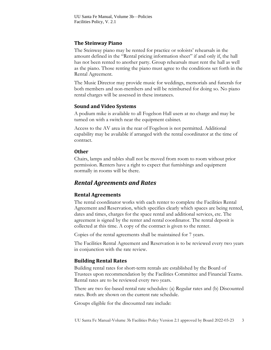#### <span id="page-5-0"></span>**The Steinway Piano**

The Steinway piano may be rented for practice or soloists' rehearsals in the amount defined in the "Rental pricing information sheet" if and only if, the hall has not been rented to another party. Group rehearsals must rent the hall as well as the piano. Those renting the piano must agree to the conditions set forth in the Rental Agreement.

The Music Director may provide music for weddings, memorials and funerals for both members and non-members and will be reimbursed for doing so. No piano rental charges will be assessed in these instances.

#### <span id="page-5-1"></span>**Sound and Video Systems**

A podium mike is available to all Fogelson Hall users at no charge and may be turned on with a switch near the equipment cabinet.

Access to the AV area in the rear of Fogelson is not permitted. Additional capability may be available if arranged with the rental coordinator at the time of contract.

#### <span id="page-5-2"></span>**Other**

Chairs, lamps and tables shall not be moved from room to room without prior permission. Renters have a right to expect that furnishings and equipment normally in rooms will be there.

#### <span id="page-5-3"></span>*Rental Agreements and Rates*

#### <span id="page-5-4"></span>**Rental Agreements**

The rental coordinator works with each renter to complete the Facilities Rental Agreement and Reservation, which specifies clearly which spaces are being rented, dates and times, charges for the space rental and additional services, etc. The agreement is signed by the renter and rental coordinator. The rental deposit is collected at this time. A copy of the contract is given to the renter.

Copies of the rental agreements shall be maintained for 7 years.

The Facilities Rental Agreement and Reservation is to be reviewed every two years in conjunction with the rate review.

#### <span id="page-5-5"></span>**Building Rental Rates**

Building rental rates for short-term rentals are established by the Board of Trustees upon recommendation by the Facilities Committee and Financial Teams. Rental rates are to be reviewed every two years.

There are two fee-based rental rate schedules: (a) Regular rates and (b) Discounted rates. Both are shown on the current rate schedule.

Groups eligible for the discounted rate include: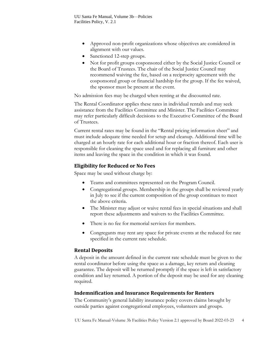- Approved non-profit organizations whose objectives are considered in alignment with our values.
- Sanctioned 12-step groups.
- Not for profit groups cosponsored either by the Social Justice Council or the Board of Trustees. The chair of the Social Justice Council may recommend waiving the fee, based on a reciprocity agreement with the cosponsored group or financial hardship for the group. If the fee waived, the sponsor must be present at the event.

No admission fees may be charged when renting at the discounted rate.

The Rental Coordinator applies these rates in individual rentals and may seek assistance from the Facilities Committee and Minister. The Facilities Committee may refer particularly difficult decisions to the Executive Committee of the Board of Trustees.

Current rental rates may be found in the "Rental pricing information sheet" and must include adequate time needed for setup and cleanup. Additional time will be charged at an hourly rate for each additional hour or fraction thereof. Each user is responsible for cleaning the space used and for replacing all furniture and other items and leaving the space in the condition in which it was found.

#### <span id="page-6-0"></span>**Eligibility for Reduced or No Fees**

Space may be used without charge by:

- Teams and committees represented on the Program Council.
- Congregational groups. Membership in the groups shall be reviewed yearly in July to see if the current composition of the group continues to meet the above criteria.
- The Minister may adjust or waive rental fees in special situations and shall report these adjustments and waivers to the Facilities Committee.
- There is no fee for memorial services for members.
- Congregants may rent any space for private events at the reduced fee rate specified in the current rate schedule.

#### <span id="page-6-1"></span>**Rental Deposits**

A deposit in the amount defined in the current rate schedule must be given to the rental coordinator before using the space as a damage, key return and cleaning guarantee. The deposit will be returned promptly if the space is left in satisfactory condition and key returned. A portion of the deposit may be used for any cleaning required.

#### <span id="page-6-2"></span>**Indemnification and Insurance Requirements for Renters**

The Community's general liability insurance policy covers claims brought by outside parties against congregational employees, volunteers and groups.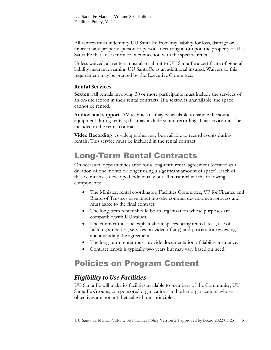All renters must indemnify UU Santa Fe from any liability for loss, damage or injury to any property, person or persons occurring in or upon the property of UU Santa Fe that arises from or in connection with the specific rental.

Unless waived, all renters must also submit to UU Santa Fe a certificate of general liability insurance naming UU Santa Fe as an additional insured. Waivers to this requirement may be granted by the Executive Committee.

#### <span id="page-7-0"></span>**Rental Services**

**Sexton.** All rentals involving 30 or more participants must include the services of an on-site sexton in their rental contracts. If a sexton is unavailable, the space cannot be rented.

**Audiovisual support.** AV technicians may be available to handle the sound equipment during rentals; this may include sound recording. This service must be included in the rental contract.

**Video Recording.** A videographer may be available to record events during rentals. This service must be included in the rental contract.

### <span id="page-7-1"></span>Long-Term Rental Contracts

On occasion, opportunities arise for a long-term rental agreement (defined as a duration of one month or longer using a significant amount of space). Each of these contacts is developed individually but all must include the following components:

- The Minister, rental coordinator, Facilities Committee, VP for Finance and Board of Trustees have input into the contract development process and must agree to the final contract.
- The long-term renter should be an organization whose purposes are compatible with UU values.
- The contract must be explicit about spaces being rented, fees, use of building amenities, services provided (if any) and process for reviewing and amending the agreement.
- The long-term renter must provide documentation of liability insurance.
- Contract length is typically two years but may vary based on need.

## <span id="page-7-2"></span>Policies on Program Content

### <span id="page-7-3"></span>*Eligibility to Use Facilities*

UU Santa Fe will make its facilities available to members of the Community, UU Santa Fe Groups, co-sponsored organizations and other organizations whose objectives are not antithetical with our principles.